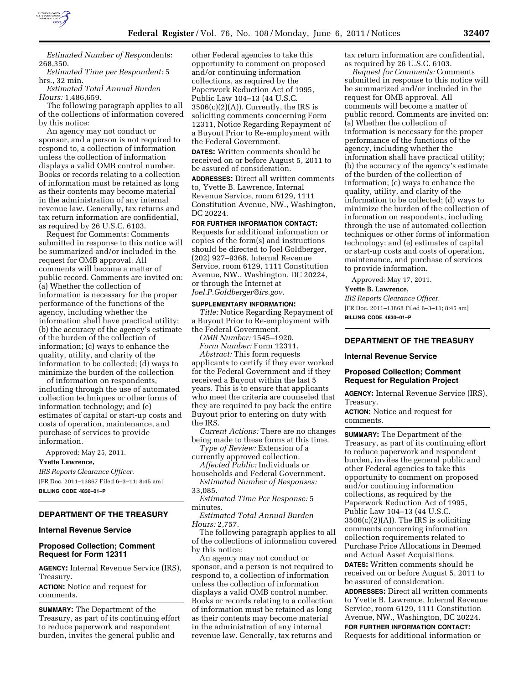

*Estimated Number of Respo*ndents: 268,350.

*Estimated Time per Respondent:* 5 hrs., 32 min.

*Estimated Total Annual Burden Hours:* 1,486,659.

The following paragraph applies to all of the collections of information covered by this notice:

An agency may not conduct or sponsor, and a person is not required to respond to, a collection of information unless the collection of information displays a valid OMB control number. Books or records relating to a collection of information must be retained as long as their contents may become material in the administration of any internal revenue law. Generally, tax returns and tax return information are confidential, as required by 26 U.S.C. 6103.

Request for Comments: Comments submitted in response to this notice will be summarized and/or included in the request for OMB approval. All comments will become a matter of public record. Comments are invited on: (a) Whether the collection of information is necessary for the proper performance of the functions of the agency, including whether the information shall have practical utility; (b) the accuracy of the agency's estimate of the burden of the collection of information; (c) ways to enhance the quality, utility, and clarity of the information to be collected; (d) ways to minimize the burden of the collection

of information on respondents, including through the use of automated collection techniques or other forms of information technology; and (e) estimates of capital or start-up costs and costs of operation, maintenance, and purchase of services to provide information.

Approved: May 25, 2011.

#### **Yvette Lawrence,**

*IRS Reports Clearance Officer.*  [FR Doc. 2011–13867 Filed 6–3–11; 8:45 am] **BILLING CODE 4830–01–P** 

## **DEPARTMENT OF THE TREASURY**

### **Internal Revenue Service**

## **Proposed Collection; Comment Request for Form 12311**

**AGENCY:** Internal Revenue Service (IRS), Treasury.

**ACTION:** Notice and request for comments.

**SUMMARY:** The Department of the Treasury, as part of its continuing effort to reduce paperwork and respondent burden, invites the general public and

other Federal agencies to take this opportunity to comment on proposed and/or continuing information collections, as required by the Paperwork Reduction Act of 1995, Public Law 104–13 (44 U.S.C.  $3506(c)(2)(A)$ . Currently, the IRS is soliciting comments concerning Form 12311, Notice Regarding Repayment of a Buyout Prior to Re-employment with the Federal Government.

**DATES:** Written comments should be received on or before August 5, 2011 to be assured of consideration.

**ADDRESSES:** Direct all written comments to, Yvette B. Lawrence, Internal Revenue Service, room 6129, 1111 Constitution Avenue, NW., Washington, DC 20224.

## **FOR FURTHER INFORMATION CONTACT:**

Requests for additional information or copies of the form(s) and instructions should be directed to Joel Goldberger, (202) 927–9368, Internal Revenue Service, room 6129, 1111 Constitution Avenue, NW., Washington, DC 20224, or through the Internet at *[Joel.P.Goldberger@irs.gov.](mailto:Joel.P.Goldberger@irs.gov)* 

#### **SUPPLEMENTARY INFORMATION:**

*Title:* Notice Regarding Repayment of a Buyout Prior to Re-employment with the Federal Government.

*OMB Number:* 1545–1920.

*Form Number:* Form 12311.

*Abstract:* This form requests applicants to certify if they ever worked for the Federal Government and if they received a Buyout within the last 5 years. This is to ensure that applicants who meet the criteria are counseled that they are required to pay back the entire Buyout prior to entering on duty with the IRS.

*Current Actions:* There are no changes being made to these forms at this time.

*Type of Review:* Extension of a

currently approved collection. *Affected Public:* Individuals or

households and Federal Government. *Estimated Number of Responses:*  33,085.

*Estimated Time Per Response:* 5 minutes.

*Estimated Total Annual Burden Hours:* 2,757.

The following paragraph applies to all of the collections of information covered by this notice:

An agency may not conduct or sponsor, and a person is not required to respond to, a collection of information unless the collection of information displays a valid OMB control number. Books or records relating to a collection of information must be retained as long as their contents may become material in the administration of any internal revenue law. Generally, tax returns and

tax return information are confidential, as required by 26 U.S.C. 6103.

*Request for Comments:* Comments submitted in response to this notice will be summarized and/or included in the request for OMB approval. All comments will become a matter of public record. Comments are invited on: (a) Whether the collection of information is necessary for the proper performance of the functions of the agency, including whether the information shall have practical utility; (b) the accuracy of the agency's estimate of the burden of the collection of information; (c) ways to enhance the quality, utility, and clarity of the information to be collected; (d) ways to minimize the burden of the collection of information on respondents, including through the use of automated collection techniques or other forms of information technology; and (e) estimates of capital or start-up costs and costs of operation, maintenance, and purchase of services to provide information.

Approved: May 17, 2011.

#### **Yvette B. Lawrence,**

*IRS Reports Clearance Officer.*  [FR Doc. 2011–13868 Filed 6–3–11; 8:45 am] **BILLING CODE 4830–01–P** 

## **DEPARTMENT OF THE TREASURY**

#### **Internal Revenue Service**

## **Proposed Collection; Comment Request for Regulation Project**

**AGENCY:** Internal Revenue Service (IRS), Treasury.

**ACTION:** Notice and request for comments.

**SUMMARY:** The Department of the Treasury, as part of its continuing effort to reduce paperwork and respondent burden, invites the general public and other Federal agencies to take this opportunity to comment on proposed and/or continuing information collections, as required by the Paperwork Reduction Act of 1995, Public Law 104–13 (44 U.S.C.  $3506(c)(2)(A)$ . The IRS is soliciting comments concerning information collection requirements related to Purchase Price Allocations in Deemed and Actual Asset Acquisitions. **DATES:** Written comments should be received on or before August 5, 2011 to be assured of consideration.

**ADDRESSES:** Direct all written comments to Yvette B. Lawrence, Internal Revenue Service, room 6129, 1111 Constitution Avenue, NW., Washington, DC 20224.

**FOR FURTHER INFORMATION CONTACT:**  Requests for additional information or